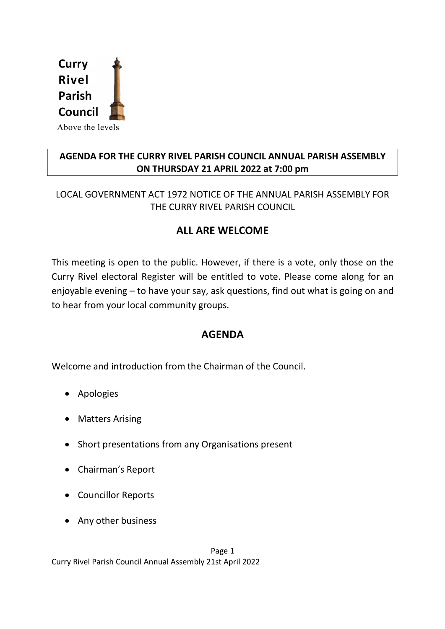

## AGENDA FOR THE CURRY RIVEL PARISH COUNCIL ANNUAL PARISH ASSEMBLY ON THURSDAY 21 APRIL 2022 at 7:00 pm

LOCAL GOVERNMENT ACT 1972 NOTICE OF THE ANNUAL PARISH ASSEMBLY FOR THE CURRY RIVEL PARISH COUNCIL

## ALL ARE WELCOME

This meeting is open to the public. However, if there is a vote, only those on the Curry Rivel electoral Register will be entitled to vote. Please come along for an enjoyable evening – to have your say, ask questions, find out what is going on and to hear from your local community groups.

## AGENDA

Welcome and introduction from the Chairman of the Council.

- Apologies
- Matters Arising
- Short presentations from any Organisations present
- Chairman's Report
- Councillor Reports
- Any other business

Page 1 Curry Rivel Parish Council Annual Assembly 21st April 2022